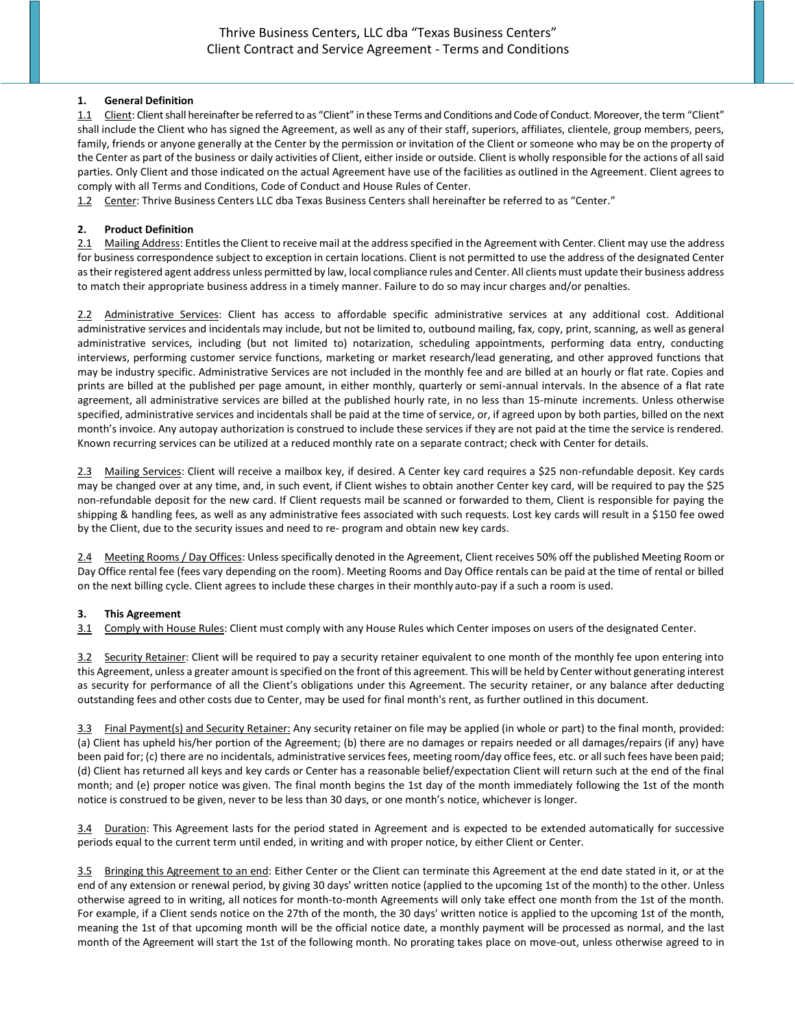### **1. General Definition**

1.1 Client: Client shall hereinafter be referred to as "Client" in these Terms and Conditions and Code of Conduct. Moreover, the term "Client" shall include the Client who has signed the Agreement, as well as any of their staff, superiors, affiliates, clientele, group members, peers, family, friends or anyone generally at the Center by the permission or invitation of the Client or someone who may be on the property of the Center as part of the business or daily activities of Client, either inside or outside. Client is wholly responsible for the actions of all said parties. Only Client and those indicated on the actual Agreement have use of the facilities as outlined in the Agreement. Client agrees to comply with all Terms and Conditions, Code of Conduct and House Rules of Center.

1.2 Center: Thrive Business Centers LLC dba Texas Business Centers shall hereinafter be referred to as "Center."

## **2. Product Definition**

2.1 Mailing Address: Entitles the Client to receive mail at the address specified in the Agreement with Center. Client may use the address for business correspondence subject to exception in certain locations. Client is not permitted to use the address of the designated Center as their registered agent address unless permitted by law, local compliance rules and Center. All clients must update their business address to match their appropriate business address in a timely manner. Failure to do so may incur charges and/or penalties.

2.2 Administrative Services: Client has access to affordable specific administrative services at any additional cost. Additional administrative services and incidentals may include, but not be limited to, outbound mailing, fax, copy, print, scanning, as well as general administrative services, including (but not limited to) notarization, scheduling appointments, performing data entry, conducting interviews, performing customer service functions, marketing or market research/lead generating, and other approved functions that may be industry specific. Administrative Services are not included in the monthly fee and are billed at an hourly or flat rate. Copies and prints are billed at the published per page amount, in either monthly, quarterly or semi-annual intervals. In the absence of a flat rate agreement, all administrative services are billed at the published hourly rate, in no less than 15-minute increments. Unless otherwise specified, administrative services and incidentals shall be paid at the time of service, or, if agreed upon by both parties, billed on the next month's invoice. Any autopay authorization is construed to include these services if they are not paid at the time the service is rendered. Known recurring services can be utilized at a reduced monthly rate on a separate contract; check with Center for details.

2.3 Mailing Services: Client will receive a mailbox key, if desired. A Center key card requires a \$25 non-refundable deposit. Key cards may be changed over at any time, and, in such event, if Client wishes to obtain another Center key card, will be required to pay the \$25 non-refundable deposit for the new card. If Client requests mail be scanned or forwarded to them, Client is responsible for paying the shipping & handling fees, as well as any administrative fees associated with such requests. Lost key cards will result in a \$150 fee owed by the Client, due to the security issues and need to re- program and obtain new key cards.

2.4 Meeting Rooms / Day Offices: Unless specifically denoted in the Agreement, Client receives 50% off the published Meeting Room or Day Office rental fee (fees vary depending on the room). Meeting Rooms and Day Office rentals can be paid at the time of rental or billed on the next billing cycle. Client agrees to include these charges in their monthly auto-pay if a such a room is used.

# **3. This Agreement**

3.1 Comply with House Rules: Client must comply with any House Rules which Center imposes on users of the designated Center.

3.2 Security Retainer: Client will be required to pay a security retainer equivalent to one month of the monthly fee upon entering into this Agreement, unless a greater amount is specified on the front of this agreement. This will be held by Center without generating interest as security for performance of all the Client's obligations under this Agreement. The security retainer, or any balance after deducting outstanding fees and other costs due to Center, may be used for final month's rent, as further outlined in this document.

3.3 Final Payment(s) and Security Retainer: Any security retainer on file may be applied (in whole or part) to the final month, provided: (a) Client has upheld his/her portion of the Agreement; (b) there are no damages or repairs needed or all damages/repairs (if any) have been paid for; (c) there are no incidentals, administrative services fees, meeting room/day office fees, etc. or all such fees have been paid; (d) Client has returned all keys and key cards or Center has a reasonable belief/expectation Client will return such at the end of the final month; and (e) proper notice was given. The final month begins the 1st day of the month immediately following the 1st of the month notice is construed to be given, never to be less than 30 days, or one month's notice, whichever is longer.

3.4 Duration: This Agreement lasts for the period stated in Agreement and is expected to be extended automatically for successive periods equal to the current term until ended, in writing and with proper notice, by either Client or Center.

3.5 Bringing this Agreement to an end: Either Center or the Client can terminate this Agreement at the end date stated in it, or at the end of any extension or renewal period, by giving 30 days' written notice (applied to the upcoming 1st of the month) to the other. Unless otherwise agreed to in writing, all notices for month-to-month Agreements will only take effect one month from the 1st of the month. For example, if a Client sends notice on the 27th of the month, the 30 days' written notice is applied to the upcoming 1st of the month, meaning the 1st of that upcoming month will be the official notice date, a monthly payment will be processed as normal, and the last month of the Agreement will start the 1st of the following month. No prorating takes place on move-out, unless otherwise agreed to in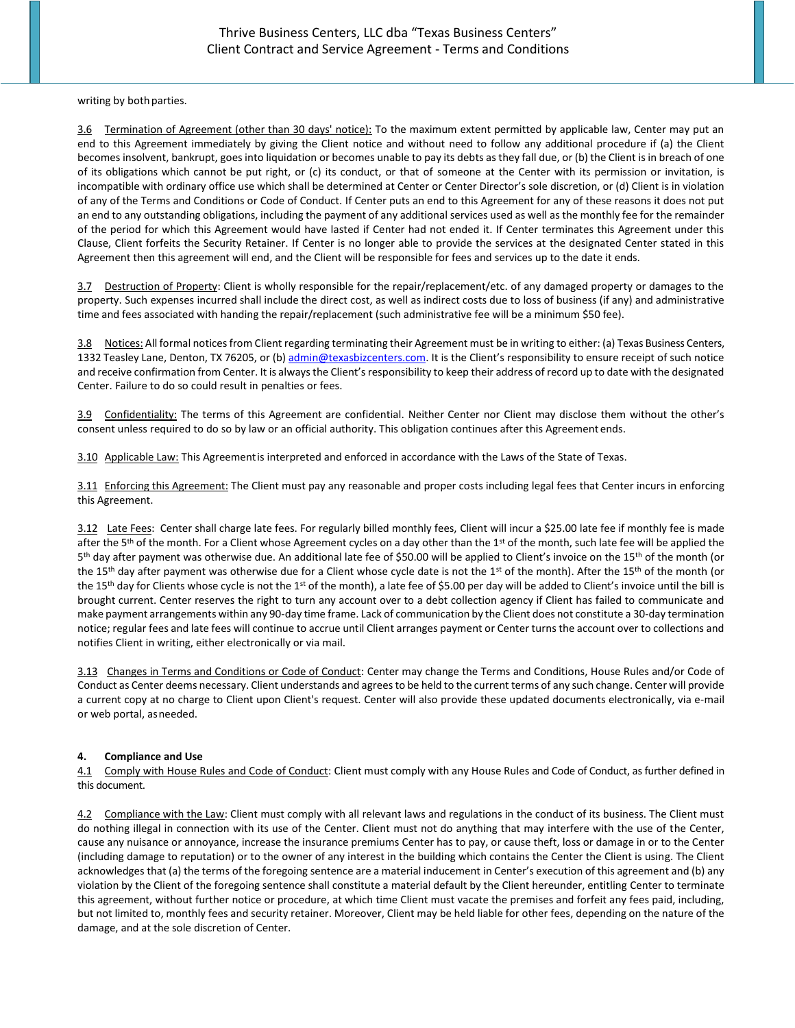writing by both parties.

3.6 Termination of Agreement (other than 30 days' notice): To the maximum extent permitted by applicable law, Center may put an end to this Agreement immediately by giving the Client notice and without need to follow any additional procedure if (a) the Client becomes insolvent, bankrupt, goesinto liquidation or becomes unable to pay its debts as they fall due, or (b) the Client is in breach of one of its obligations which cannot be put right, or (c) its conduct, or that of someone at the Center with its permission or invitation, is incompatible with ordinary office use which shall be determined at Center or Center Director's sole discretion, or (d) Client is in violation of any of the Terms and Conditions or Code of Conduct. If Center puts an end to this Agreement for any of these reasons it does not put an end to any outstanding obligations, including the payment of any additional services used as well as the monthly fee for the remainder of the period for which this Agreement would have lasted if Center had not ended it. If Center terminates this Agreement under this Clause, Client forfeits the Security Retainer. If Center is no longer able to provide the services at the designated Center stated in this Agreement then this agreement will end, and the Client will be responsible for fees and services up to the date it ends.

3.7 Destruction of Property: Client is wholly responsible for the repair/replacement/etc. of any damaged property or damages to the property. Such expenses incurred shall include the direct cost, as well as indirect costs due to loss of business (if any) and administrative time and fees associated with handing the repair/replacement (such administrative fee will be a minimum \$50 fee).

3.8 Notices: All formal notices from Client regarding terminating their Agreement must be in writing to either: (a) Texas Business Centers, 1332 Teasley Lane, Denton, TX 76205, or (b) [admin@texasbizcenters.com.](mailto:admin@texasbizcenters.comI) It is the Client's responsibility to ensure receipt of such notice and receive confirmation from Center. It is always the Client's responsibility to keep their address of record up to date with the designated Center. Failure to do so could result in penalties or fees.

3.9 Confidentiality: The terms of this Agreement are confidential. Neither Center nor Client may disclose them without the other's consent unless required to do so by law or an official authority. This obligation continues after this Agreement ends.

3.10 Applicable Law: This Agreementis interpreted and enforced in accordance with the Laws of the State of Texas.

3.11 Enforcing this Agreement: The Client must pay any reasonable and proper costs including legal fees that Center incurs in enforcing this Agreement.

3.12 Late Fees: Center shall charge late fees. For regularly billed monthly fees, Client will incur a \$25.00 late fee if monthly fee is made after the 5<sup>th</sup> of the month. For a Client whose Agreement cycles on a day other than the 1<sup>st</sup> of the month, such late fee will be applied the 5<sup>th</sup> day after payment was otherwise due. An additional late fee of \$50.00 will be applied to Client's invoice on the 15<sup>th</sup> of the month (or the 15<sup>th</sup> day after payment was otherwise due for a Client whose cycle date is not the 1<sup>st</sup> of the month). After the 15<sup>th</sup> of the month (or the 15<sup>th</sup> day for Clients whose cycle is not the 1<sup>st</sup> of the month), a late fee of \$5.00 per day will be added to Client's invoice until the bill is brought current. Center reserves the right to turn any account over to a debt collection agency if Client has failed to communicate and make payment arrangements within any 90-day time frame. Lack of communication by the Client does not constitute a 30-day termination notice; regular fees and late fees will continue to accrue until Client arranges payment or Center turns the account over to collections and notifies Client in writing, either electronically or via mail.

3.13 Changes in Terms and Conditions or Code of Conduct: Center may change the Terms and Conditions, House Rules and/or Code of Conduct as Center deems necessary. Client understands and agrees to be held to the current terms of any such change. Center will provide a current copy at no charge to Client upon Client's request. Center will also provide these updated documents electronically, via e-mail or web portal, asneeded.

### **4. Compliance and Use**

4.1 Comply with House Rules and Code of Conduct: Client must comply with any House Rules and Code of Conduct, as further defined in this document.

4.2 Compliance with the Law: Client must comply with all relevant laws and regulations in the conduct of its business. The Client must do nothing illegal in connection with its use of the Center. Client must not do anything that may interfere with the use of the Center, cause any nuisance or annoyance, increase the insurance premiums Center has to pay, or cause theft, loss or damage in or to the Center (including damage to reputation) or to the owner of any interest in the building which contains the Center the Client is using. The Client acknowledges that (a) the terms of the foregoing sentence are a material inducement in Center's execution of this agreement and (b) any violation by the Client of the foregoing sentence shall constitute a material default by the Client hereunder, entitling Center to terminate this agreement, without further notice or procedure, at which time Client must vacate the premises and forfeit any fees paid, including, but not limited to, monthly fees and security retainer. Moreover, Client may be held liable for other fees, depending on the nature of the damage, and at the sole discretion of Center.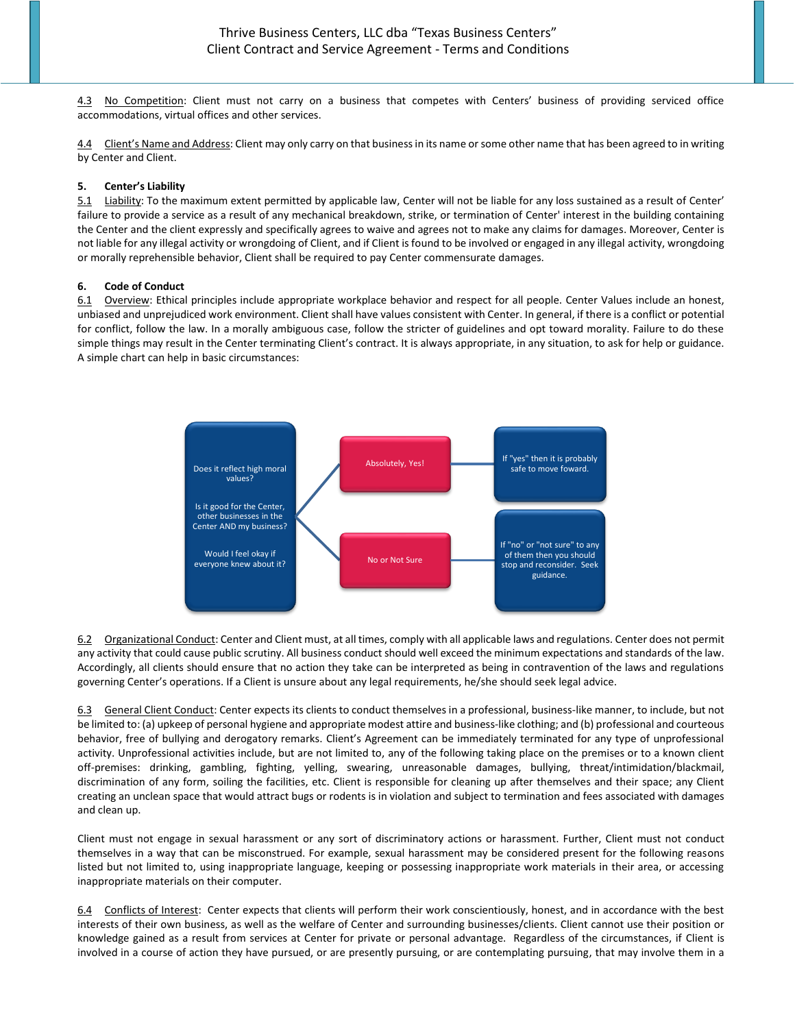4.3 No Competition: Client must not carry on a business that competes with Centers' business of providing serviced office accommodations, virtual offices and other services.

4.4 Client's Name and Address: Client may only carry on that business in its name or some other name that has been agreed to in writing by Center and Client.

#### **5. Center's Liability**

5.1 Liability: To the maximum extent permitted by applicable law, Center will not be liable for any loss sustained as a result of Center' failure to provide a service as a result of any mechanical breakdown, strike, or termination of Center' interest in the building containing the Center and the client expressly and specifically agrees to waive and agrees not to make any claims for damages. Moreover, Center is not liable for any illegal activity or wrongdoing of Client, and if Client is found to be involved or engaged in any illegal activity, wrongdoing or morally reprehensible behavior, Client shall be required to pay Center commensurate damages.

#### **6. Code of Conduct**

6.1 Overview: Ethical principles include appropriate workplace behavior and respect for all people. Center Values include an honest, unbiased and unprejudiced work environment. Client shall have values consistent with Center. In general, if there is a conflict or potential for conflict, follow the law. In a morally ambiguous case, follow the stricter of guidelines and opt toward morality. Failure to do these simple things may result in the Center terminating Client's contract. It is always appropriate, in any situation, to ask for help or guidance. A simple chart can help in basic circumstances:



6.2 Organizational Conduct: Center and Client must, at all times, comply with all applicable laws and regulations. Center does not permit any activity that could cause public scrutiny. All business conduct should well exceed the minimum expectations and standards of the law. Accordingly, all clients should ensure that no action they take can be interpreted as being in contravention of the laws and regulations governing Center's operations. If a Client is unsure about any legal requirements, he/she should seek legal advice.

6.3 General Client Conduct: Center expects its clients to conduct themselves in a professional, business-like manner, to include, but not be limited to: (a) upkeep of personal hygiene and appropriate modest attire and business-like clothing; and (b) professional and courteous behavior, free of bullying and derogatory remarks. Client's Agreement can be immediately terminated for any type of unprofessional activity. Unprofessional activities include, but are not limited to, any of the following taking place on the premises or to a known client off-premises: drinking, gambling, fighting, yelling, swearing, unreasonable damages, bullying, threat/intimidation/blackmail, discrimination of any form, soiling the facilities, etc. Client is responsible for cleaning up after themselves and their space; any Client creating an unclean space that would attract bugs or rodents is in violation and subject to termination and fees associated with damages and clean up.

Client must not engage in sexual harassment or any sort of discriminatory actions or harassment. Further, Client must not conduct themselves in a way that can be misconstrued. For example, sexual harassment may be considered present for the following reasons listed but not limited to, using inappropriate language, keeping or possessing inappropriate work materials in their area, or accessing inappropriate materials on their computer.

6.4 Conflicts of Interest: Center expects that clients will perform their work conscientiously, honest, and in accordance with the best interests of their own business, as well as the welfare of Center and surrounding businesses/clients. Client cannot use their position or knowledge gained as a result from services at Center for private or personal advantage. Regardless of the circumstances, if Client is involved in a course of action they have pursued, or are presently pursuing, or are contemplating pursuing, that may involve them in a